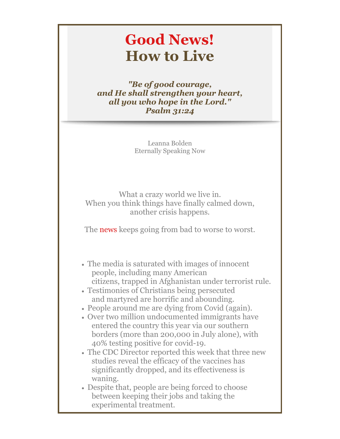# **Good News! How to Live**

*"Be of good courage, and He shall strengthen your heart, all you who hope in the Lord." Psalm 31:24*

> Leanna Bolden Eternally Speaking Now

What a crazy world we live in. When you think things have finally calmed down, another crisis happens.

The news keeps going from bad to worse to worst.

- The media is saturated with images of innocent people, including many American citizens, trapped in Afghanistan under terrorist rule.
- Testimonies of Christians being persecuted and martyred are horrific and abounding.
- People around me are dying from Covid (again).
- Over two million undocumented immigrants have entered the country this year via our southern borders (more than 200,000 in July alone), with 40% testing positive for covid-19.
- The CDC Director reported this week that three new studies reveal the efficacy of the vaccines has significantly dropped, and its effectiveness is waning.
- Despite that, people are being forced to choose between keeping their jobs and taking the experimental treatment.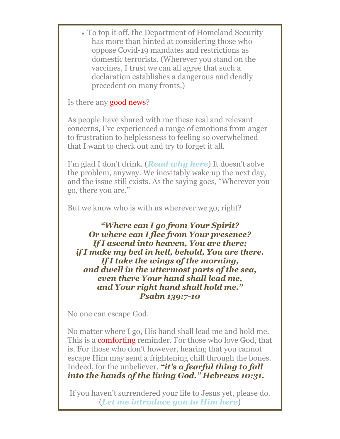To top it off, the Department of Homeland Security has more than hinted at considering those who oppose Covid-19 mandates and restrictions as domestic terrorists. (Wherever you stand on the vaccines, I trust we can all agree that such a declaration establishes a dangerous and deadly precedent on many fronts.)

Is there any good news?

As people have shared with me these real and relevant concerns, I've experienced a range of emotions from anger to frustration to helplessness to feeling so overwhelmed that I want to check out and try to forget it all.

I'm glad I don't drink. (*[Read why here](https://r20.rs6.net/tn.jsp?f=001gIxGjQam9EntDYsDD_rpeqk-btrM82vtBZjFcwo2vz0jXH0F7AeD9SE3wRwUuTWj6kdWNRUoNqwMtyX3jD1nuRWcIiTkoQFqJ--BFKyZXm30OZ0k4Z-FsmSBS34_U2dDHwMmRjU0PEzp-b_dDVEnllqX3wVLzknpzkktH31XJETzeheb4Ohvb6U9-1pnoSKyySpiSo1FaPDsNmKQwSq6h6LWOFJt3HZPFaExISazVCWxHjaag_7WDzVzEtjhMdL5dE7SI9iTw-T0cxWxY6VtDyCIoRHQfpEX27YqCFfufW1NiR5HMUx_FP0501NmP9Rjwwq0pkyvAkQSCCclsWeIv547W71Hhfg460Vd6HvIj1daS9WU28h9bcVCejfjkPCbVtPrlxUbU0ztPtHQuNFOnh96f06qJSMeyv6QJ4qc9-5fs3nnPUVgItQO6vjnlsmp&c=Jny6SB1q9QWzNLvCpo23SVs78AHVF2JDWgNE0jxIwPL3NoyvRQpZmA==&ch=BqxtYQjsU-JnllftBcky8ods73dIozkzqfsc4bhVZ7X3iukAm4v7gQ==)*) It doesn't solve the problem, anyway. We inevitably wake up the next day, and the issue still exists. As the saying goes, "Wherever you go, there you are."

But we know who is with us wherever we go, right?

*"Where can I go from Your Spirit? Or where can I flee from Your presence? If I ascend into heaven, You are there; if I make my bed in hell, behold, You are there. If I take the wings of the morning, and dwell in the uttermost parts of the sea, even there Your hand shall lead me, and Your right hand shall hold me." Psalm 139:7-10*

No one can escape God.

No matter where I go, His hand shall lead me and hold me. This is a comforting reminder. For those who love God, that is. For those who don't however, hearing that you cannot escape Him may send a frightening chill through the bones. Indeed, for the unbeliever, *"it's a fearful thing to fall into the hands of the living God." Hebrews 10:31.*

If you haven't surrendered your life to Jesus yet, please do. (*[Let me introduce you to Him here](https://r20.rs6.net/tn.jsp?f=001gIxGjQam9EntDYsDD_rpeqk-btrM82vtBZjFcwo2vz0jXH0F7AeD9RplGt1N227y8u1P-42CYedONLheRa_Q7CaRhWJXOAxzM1NwgGJcmhN7FcGF8ziytdAqYR1f0TwK5KhhTdS8FEeOmpkgANoLx14orzyM0n0Ru_JpurwmoMDErofF0FYWEzzeflfacSnbus7DqVc__VEF5AeUFc_DKQ==&c=Jny6SB1q9QWzNLvCpo23SVs78AHVF2JDWgNE0jxIwPL3NoyvRQpZmA==&ch=BqxtYQjsU-JnllftBcky8ods73dIozkzqfsc4bhVZ7X3iukAm4v7gQ==)*)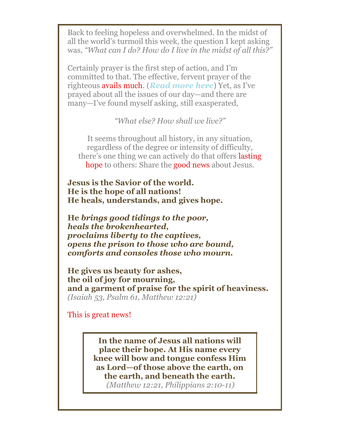Back to feeling hopeless and overwhelmed. In the midst of all the world's turmoil this week, the question I kept asking was, *"What can I do? How do I live in the midst of all this?"*

Certainly prayer is the first step of action, and I'm committed to that. The effective, fervent prayer of the righteous avails much. (*[Read more here](https://r20.rs6.net/tn.jsp?f=001gIxGjQam9EntDYsDD_rpeqk-btrM82vtBZjFcwo2vz0jXH0F7AeD9RplGt1N227yEZQf2rPIdJ6rC5O-SBCSEASIHteAZsROLnw4oikAUTpJGGsrrhA305xkbhsnNhsxeQl04drtuj9ETLYuYXC-AhDulGo_f3BWrMwQWlwXOolqwSQqfhJXWAlrWtKP1_8jBBqm5TvxnFhLFTn88v-Ni0ISy05aR3MsKJvUVnbR98NOwujeR46vLyh-zn2cVT2fXJkQfoyH42qXO3cDhEUCdUTzyxd0o6wtO7e7_UxLQgDWGD7LWYsREUk6BNqoFwpMG_YEmFdZ3KqjrY9xNnQ-cVaj_dLerQhaIeqij1Dlh5_1mBHzxrZgNbO5U8gAfxdmcxOk48qTKnsxK55-igqVwMk88mq4rXoT&c=Jny6SB1q9QWzNLvCpo23SVs78AHVF2JDWgNE0jxIwPL3NoyvRQpZmA==&ch=BqxtYQjsU-JnllftBcky8ods73dIozkzqfsc4bhVZ7X3iukAm4v7gQ==)*) Yet, as I've prayed about all the issues of our day—and there are many—I've found myself asking, still exasperated,

*"What else? How shall we live?"*

It seems throughout all history, in any situation, regardless of the degree or intensity of difficulty, there's one thing we can actively do that offers lasting hope to others: Share the **good news** about Jesus.

**Jesus is the Savior of the world. He is the hope of all nations! He heals, understands, and gives hope.**

**He** *brings good tidings to the poor, heals the brokenhearted, proclaims liberty to the captives, opens the prison to those who are bound, comforts and consoles those who mourn.*

**He gives us beauty for ashes, the oil of joy for mourning, and a garment of praise for the spirit of heaviness.** *(Isaiah 53, Psalm 61, Matthew 12:21)*

This is great news!

**In the name of Jesus all nations will place their hope. At His name every knee will bow and tongue confess Him as Lord—of those above the earth, on the earth, and beneath the earth.** *(Matthew 12:21, Philippians 2:10-11)*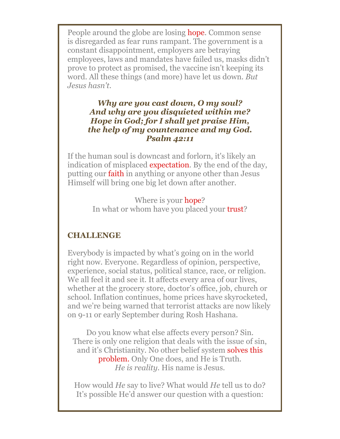People around the globe are losing hope. Common sense is disregarded as fear runs rampant. The government is a constant disappointment, employers are betraying employees, laws and mandates have failed us, masks didn't prove to protect as promised, the vaccine isn't keeping its word. All these things (and more) have let us down. *But Jesus hasn't.*

#### *Why are you cast down, O my soul? And why are you disquieted within me? Hope in God; for I shall yet praise Him, the help of my countenance and my God. Psalm 42:11*

If the human soul is downcast and forlorn, it's likely an indication of misplaced expectation. By the end of the day, putting our faith in anything or anyone other than Jesus Himself will bring one big let down after another.

> Where is your hope? In what or whom have you placed your trust?

### **CHALLENGE**

Everybody is impacted by what's going on in the world right now. Everyone. Regardless of opinion, perspective, experience, social status, political stance, race, or religion. We all feel it and see it. It affects every area of our lives, whether at the grocery store, doctor's office, job, church or school. Inflation continues, home prices have skyrocketed, and we're being warned that terrorist attacks are now likely on 9-11 or early September during Rosh Hashana.

Do you know what else affects every person? Sin. There is only one religion that deals with the issue of sin, and it's Christianity. No other belief system **solves this** problem. Only One does, and He is Truth. *He is reality.* His name is Jesus.

How would *He* say to live? What would *He* tell us to do? It's possible He'd answer our question with a question: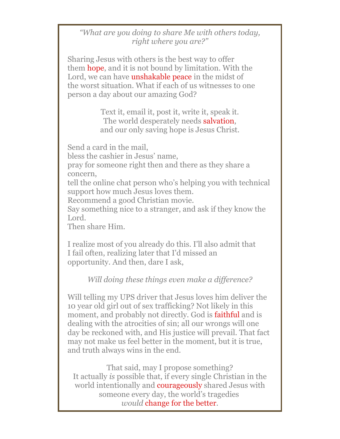#### *"What are you doing to share Me with others today, right where you are?"*

Sharing Jesus with others is the best way to offer them hope, and it is not bound by limitation. With the Lord, we can have **unshakable peace** in the midst of the worst situation. What if each of us witnesses to one person a day about our amazing God?

> Text it, email it, post it, write it, speak it. The world desperately needs salvation, and our only saving hope is Jesus Christ.

Send a card in the mail,

bless the cashier in Jesus' name,

pray for someone right then and there as they share a concern,

tell the online chat person who's helping you with technical support how much Jesus loves them.

Recommend a good Christian movie.

Say something nice to a stranger, and ask if they know the Lord.

Then share Him.

I realize most of you already do this. I'll also admit that I fail often, realizing later that I'd missed an opportunity. And then, dare I ask,

## *Will doing these things even make a difference?*

Will telling my UPS driver that Jesus loves him deliver the 10 year old girl out of sex trafficking? Not likely in this moment, and probably not directly. God is **faithful** and is dealing with the atrocities of sin; all our wrongs will one day be reckoned with, and His justice will prevail. That fact may not make us feel better in the moment, but it is true, and truth always wins in the end.

That said, may I propose something? It actually *is* possible that, if every single Christian in the world intentionally and **courageously** shared Jesus with someone every day, the world's tragedies *would* change for the better.